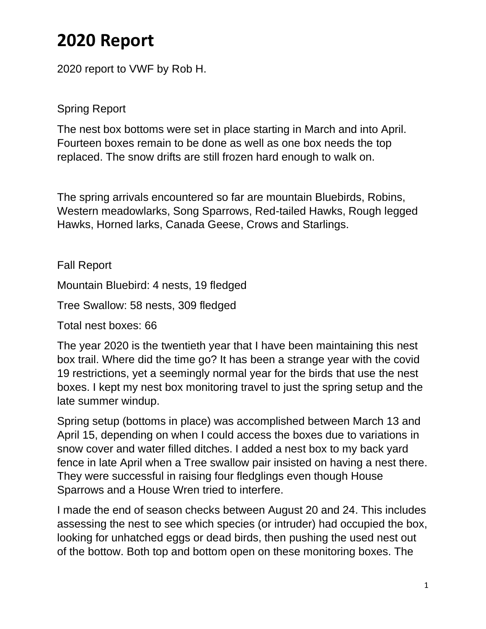## **2020 Report**

2020 report to VWF by Rob H.

Spring Report

The nest box bottoms were set in place starting in March and into April. Fourteen boxes remain to be done as well as one box needs the top replaced. The snow drifts are still frozen hard enough to walk on.

The spring arrivals encountered so far are mountain Bluebirds, Robins, Western meadowlarks, Song Sparrows, Red-tailed Hawks, Rough legged Hawks, Horned larks, Canada Geese, Crows and Starlings.

Fall Report

Mountain Bluebird: 4 nests, 19 fledged

Tree Swallow: 58 nests, 309 fledged

Total nest boxes: 66

The year 2020 is the twentieth year that I have been maintaining this nest box trail. Where did the time go? It has been a strange year with the covid 19 restrictions, yet a seemingly normal year for the birds that use the nest boxes. I kept my nest box monitoring travel to just the spring setup and the late summer windup.

Spring setup (bottoms in place) was accomplished between March 13 and April 15, depending on when I could access the boxes due to variations in snow cover and water filled ditches. I added a nest box to my back yard fence in late April when a Tree swallow pair insisted on having a nest there. They were successful in raising four fledglings even though House Sparrows and a House Wren tried to interfere.

I made the end of season checks between August 20 and 24. This includes assessing the nest to see which species (or intruder) had occupied the box, looking for unhatched eggs or dead birds, then pushing the used nest out of the bottow. Both top and bottom open on these monitoring boxes. The